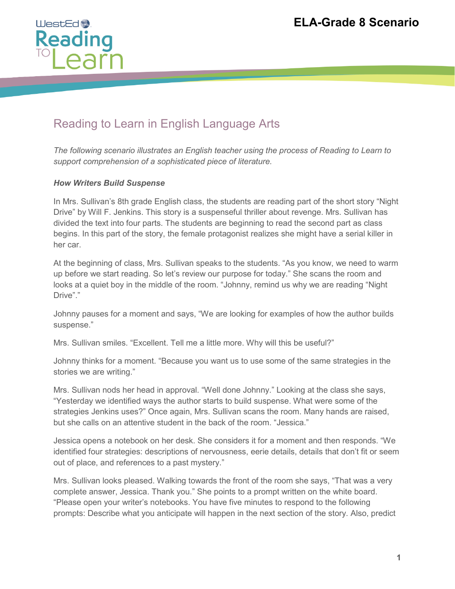

## Reading to Learn in English Language Arts

*The following scenario illustrates an English teacher using the process of Reading to Learn to support comprehension of a sophisticated piece of literature.* 

## *How Writers Build Suspense*

In Mrs. Sullivan's 8th grade English class, the students are reading part of the short story "Night Drive" by Will F. Jenkins. This story is a suspenseful thriller about revenge. Mrs. Sullivan has divided the text into four parts. The students are beginning to read the second part as class begins. In this part of the story, the female protagonist realizes she might have a serial killer in her car.

At the beginning of class, Mrs. Sullivan speaks to the students. "As you know, we need to warm up before we start reading. So let's review our purpose for today." She scans the room and looks at a quiet boy in the middle of the room. "Johnny, remind us why we are reading "Night Drive"."

Johnny pauses for a moment and says, "We are looking for examples of how the author builds suspense."

Mrs. Sullivan smiles. "Excellent. Tell me a little more. Why will this be useful?"

Johnny thinks for a moment. "Because you want us to use some of the same strategies in the stories we are writing."

Mrs. Sullivan nods her head in approval. "Well done Johnny." Looking at the class she says, "Yesterday we identified ways the author starts to build suspense. What were some of the strategies Jenkins uses?" Once again, Mrs. Sullivan scans the room. Many hands are raised, but she calls on an attentive student in the back of the room. "Jessica."

Jessica opens a notebook on her desk. She considers it for a moment and then responds. "We identified four strategies: descriptions of nervousness, eerie details, details that don't fit or seem out of place, and references to a past mystery."

Mrs. Sullivan looks pleased. Walking towards the front of the room she says, "That was a very complete answer, Jessica. Thank you." She points to a prompt written on the white board. "Please open your writer's notebooks. You have five minutes to respond to the following prompts: Describe what you anticipate will happen in the next section of the story. Also, predict